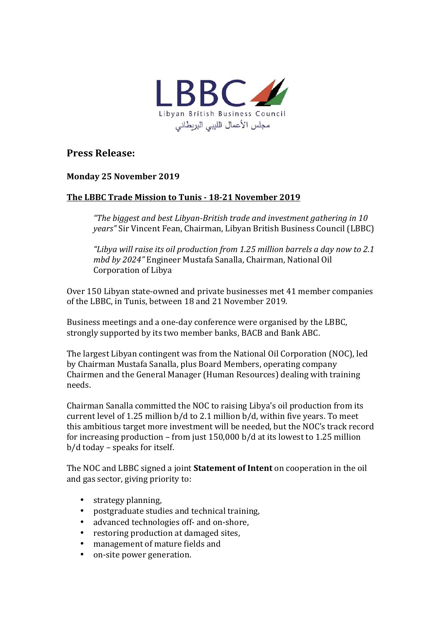

## **Press Release:**

## **Monday 25 November 2019**

## The LBBC Trade Mission to Tunis - 18-21 November 2019

*"The biggest and best Libyan-British trade and investment gathering in 10 years"* Sir Vincent Fean, Chairman, Libyan British Business Council (LBBC)

*"Libya will raise its oil production from 1.25 million barrels a day now to 2.1 mbd by 2024"* Engineer Mustafa Sanalla, Chairman, National Oil Corporation of Libya

Over 150 Libyan state-owned and private businesses met 41 member companies of the LBBC, in Tunis, between 18 and 21 November 2019.

Business meetings and a one-day conference were organised by the LBBC. strongly supported by its two member banks, BACB and Bank ABC.

The largest Libyan contingent was from the National Oil Corporation (NOC), led by Chairman Mustafa Sanalla, plus Board Members, operating company Chairmen and the General Manager (Human Resources) dealing with training needs. 

Chairman Sanalla committed the NOC to raising Libya's oil production from its current level of 1.25 million  $b/d$  to 2.1 million  $b/d$ , within five years. To meet this ambitious target more investment will be needed, but the NOC's track record for increasing production – from just  $150,000$  b/d at its lowest to 1.25 million  $b/d$  today – speaks for itself.

The NOC and LBBC signed a joint **Statement of Intent** on cooperation in the oil and gas sector, giving priority to:

- strategy planning,<br>• nostgraduate stud
- postgraduate studies and technical training,
- advanced technologies off- and on-shore,
- restoring production at damaged sites.
- management of mature fields and
- on-site power generation.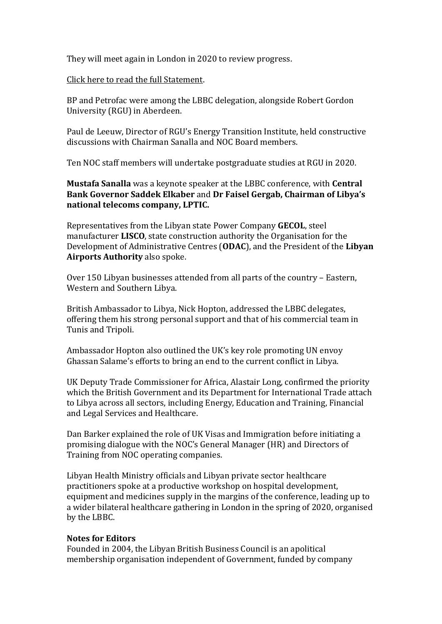They will meet again in London in 2020 to review progress.

Click here to read the full Statement.

BP and Petrofac were among the LBBC delegation, alongside Robert Gordon University (RGU) in Aberdeen.

Paul de Leeuw, Director of RGU's Energy Transition Institute, held constructive discussions with Chairman Sanalla and NOC Board members.

Ten NOC staff members will undertake postgraduate studies at RGU in 2020.

**Mustafa Sanalla** was a keynote speaker at the LBBC conference, with **Central Bank Governor Saddek Elkaber** and Dr Faisel Gergab, Chairman of Libya's national telecoms company, LPTIC.

Representatives from the Libyan state Power Company **GECOL**, steel manufacturer **LISCO**, state construction authority the Organisation for the Development of Administrative Centres (ODAC), and the President of the Libyan **Airports Authority** also spoke.

Over 150 Libyan businesses attended from all parts of the country – Eastern, Western and Southern Libya.

British Ambassador to Libya, Nick Hopton, addressed the LBBC delegates, offering them his strong personal support and that of his commercial team in Tunis and Tripoli.

Ambassador Hopton also outlined the UK's key role promoting UN envoy Ghassan Salame's efforts to bring an end to the current conflict in Libya.

UK Deputy Trade Commissioner for Africa, Alastair Long, confirmed the priority which the British Government and its Department for International Trade attach to Libya across all sectors, including Energy, Education and Training, Financial and Legal Services and Healthcare.

Dan Barker explained the role of UK Visas and Immigration before initiating a promising dialogue with the NOC's General Manager (HR) and Directors of Training from NOC operating companies.

Libyan Health Ministry officials and Libyan private sector healthcare practitioners spoke at a productive workshop on hospital development, equipment and medicines supply in the margins of the conference, leading up to a wider bilateral healthcare gathering in London in the spring of 2020, organised by the LBBC.

## **Notes for Editors**

Founded in 2004, the Libyan British Business Council is an apolitical membership organisation independent of Government, funded by company